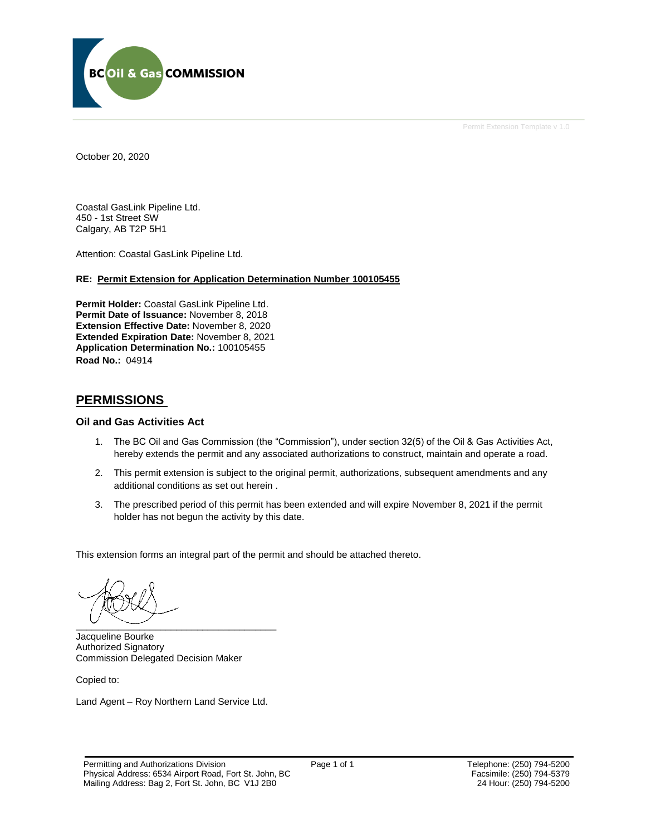

Permit Extension Template v 1.0

October 20, 2020

Coastal GasLink Pipeline Ltd. 450 - 1st Street SW Calgary, AB T2P 5H1

Attention: Coastal GasLink Pipeline Ltd.

#### **RE: Permit Extension for Application Determination Number 100105455**

**Permit Holder:** Coastal GasLink Pipeline Ltd. **Permit Date of Issuance:** November 8, 2018 **Extension Effective Date:** November 8, 2020 **Extended Expiration Date:** November 8, 2021 **Application Determination No.:** 100105455 **Road No.:** 04914

### **PERMISSIONS**

#### **Oil and Gas Activities Act**

- 1. The BC Oil and Gas Commission (the "Commission"), under section 32(5) of the Oil & Gas Activities Act, hereby extends the permit and any associated authorizations to construct, maintain and operate a road.
- 2. This permit extension is subject to the original permit, authorizations, subsequent amendments and any additional conditions as set out herein .
- 3. The prescribed period of this permit has been extended and will expire November 8, 2021 if the permit holder has not begun the activity by this date.

This extension forms an integral part of the permit and should be attached thereto.

 $\overbrace{\phantom{aaaaaaa}}$ 

Jacqueline Bourke Authorized Signatory Commission Delegated Decision Maker

Copied to:

Land Agent – Roy Northern Land Service Ltd.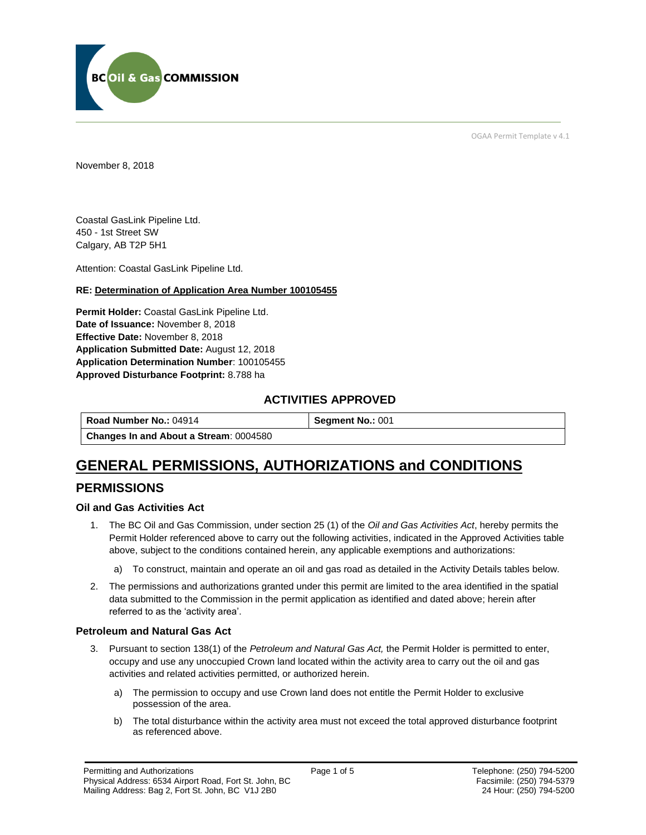

OGAA Permit Template v 4.1

November 8, 2018

Coastal GasLink Pipeline Ltd. 450 - 1st Street SW Calgary, AB T2P 5H1

Attention: Coastal GasLink Pipeline Ltd.

#### **RE: Determination of Application Area Number 100105455**

**Permit Holder:** Coastal GasLink Pipeline Ltd. **Date of Issuance:** November 8, 2018 **Effective Date:** November 8, 2018 **Application Submitted Date:** August 12, 2018 **Application Determination Number**: 100105455 **Approved Disturbance Footprint:** 8.788 ha

## **ACTIVITIES APPROVED**

**Road Number No.: 04914 Segment No.: 001 Changes In and About a Stream**: 0004580

# **GENERAL PERMISSIONS, AUTHORIZATIONS and CONDITIONS**

## **PERMISSIONS**

#### **Oil and Gas Activities Act**

- 1. The BC Oil and Gas Commission, under section 25 (1) of the *Oil and Gas Activities Act*, hereby permits the Permit Holder referenced above to carry out the following activities, indicated in the Approved Activities table above, subject to the conditions contained herein, any applicable exemptions and authorizations:
	- a) To construct, maintain and operate an oil and gas road as detailed in the Activity Details tables below.
- 2. The permissions and authorizations granted under this permit are limited to the area identified in the spatial data submitted to the Commission in the permit application as identified and dated above; herein after referred to as the 'activity area'.

#### **Petroleum and Natural Gas Act**

- 3. Pursuant to section 138(1) of the *Petroleum and Natural Gas Act,* the Permit Holder is permitted to enter, occupy and use any unoccupied Crown land located within the activity area to carry out the oil and gas activities and related activities permitted, or authorized herein.
	- a) The permission to occupy and use Crown land does not entitle the Permit Holder to exclusive possession of the area.
	- b) The total disturbance within the activity area must not exceed the total approved disturbance footprint as referenced above.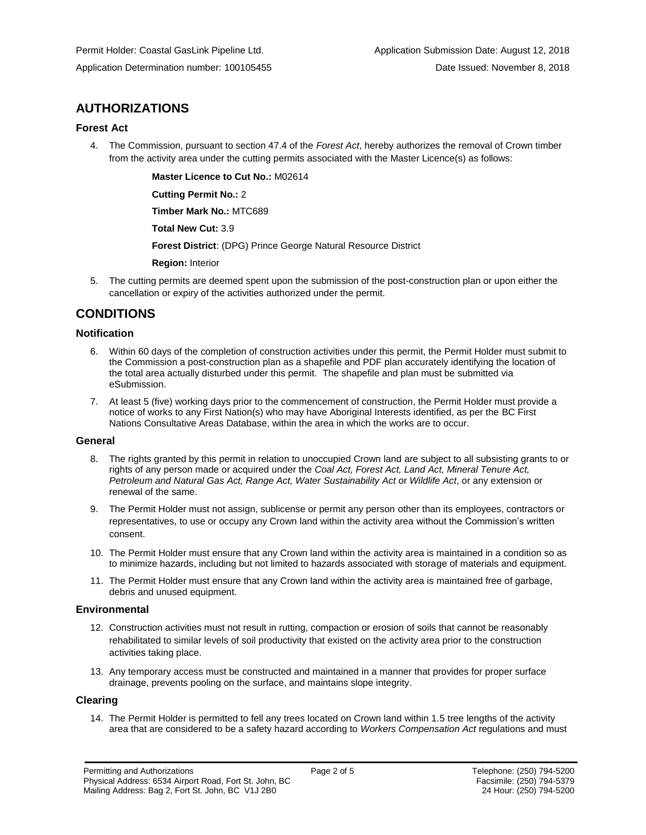## **AUTHORIZATIONS**

#### **Forest Act**

4. The Commission, pursuant to section 47.4 of the *Forest Act*, hereby authorizes the removal of Crown timber from the activity area under the cutting permits associated with the Master Licence(s) as follows:

**Master Licence to Cut No.:** M02614

**Cutting Permit No.:** 2

**Timber Mark No.:** MTC689

**Total New Cut:** 3.9

**Forest District**: (DPG) Prince George Natural Resource District

**Region:** Interior

5. The cutting permits are deemed spent upon the submission of the post-construction plan or upon either the cancellation or expiry of the activities authorized under the permit.

## **CONDITIONS**

#### **Notification**

- 6. Within 60 days of the completion of construction activities under this permit, the Permit Holder must submit to the Commission a post-construction plan as a shapefile and PDF plan accurately identifying the location of the total area actually disturbed under this permit. The shapefile and plan must be submitted via eSubmission.
- 7. At least 5 (five) working days prior to the commencement of construction, the Permit Holder must provide a notice of works to any First Nation(s) who may have Aboriginal Interests identified, as per the BC First Nations Consultative Areas Database, within the area in which the works are to occur.

#### **General**

- 8. The rights granted by this permit in relation to unoccupied Crown land are subject to all subsisting grants to or rights of any person made or acquired under the *Coal Act, Forest Act, Land Act, Mineral Tenure Act, Petroleum and Natural Gas Act, Range Act, Water Sustainability Act* or *Wildlife Act*, or any extension or renewal of the same.
- 9. The Permit Holder must not assign, sublicense or permit any person other than its employees, contractors or representatives, to use or occupy any Crown land within the activity area without the Commission's written consent.
- 10. The Permit Holder must ensure that any Crown land within the activity area is maintained in a condition so as to minimize hazards, including but not limited to hazards associated with storage of materials and equipment.
- 11. The Permit Holder must ensure that any Crown land within the activity area is maintained free of garbage, debris and unused equipment.

#### **Environmental**

- 12. Construction activities must not result in rutting, compaction or erosion of soils that cannot be reasonably rehabilitated to similar levels of soil productivity that existed on the activity area prior to the construction activities taking place.
- 13. Any temporary access must be constructed and maintained in a manner that provides for proper surface drainage, prevents pooling on the surface, and maintains slope integrity.

#### **Clearing**

14. The Permit Holder is permitted to fell any trees located on Crown land within 1.5 tree lengths of the activity area that are considered to be a safety hazard according to *Workers Compensation Act* regulations and must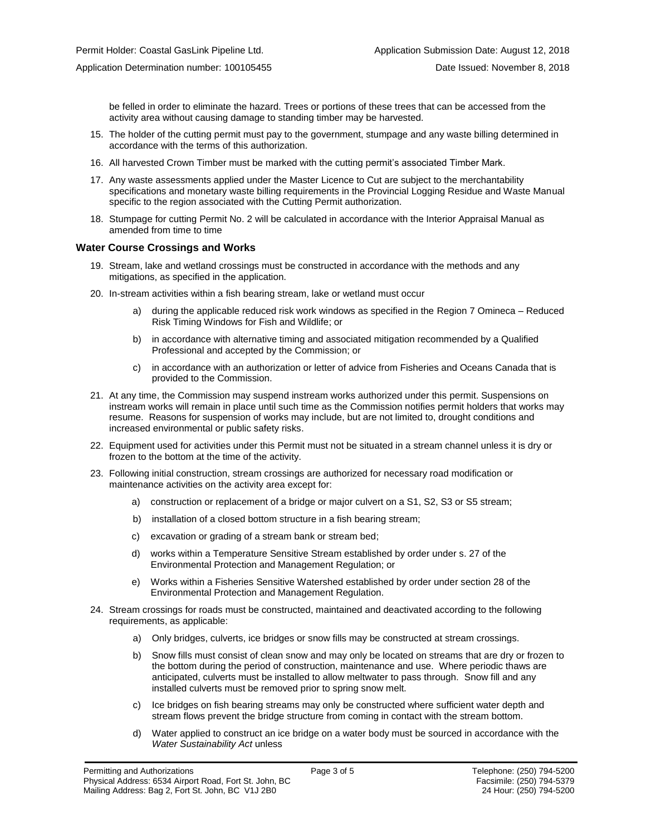be felled in order to eliminate the hazard. Trees or portions of these trees that can be accessed from the activity area without causing damage to standing timber may be harvested.

- 15. The holder of the cutting permit must pay to the government, stumpage and any waste billing determined in accordance with the terms of this authorization.
- 16. All harvested Crown Timber must be marked with the cutting permit's associated Timber Mark.
- 17. Any waste assessments applied under the Master Licence to Cut are subject to the merchantability specifications and monetary waste billing requirements in the Provincial Logging Residue and Waste Manual specific to the region associated with the Cutting Permit authorization.
- 18. Stumpage for cutting Permit No. 2 will be calculated in accordance with the Interior Appraisal Manual as amended from time to time

#### **Water Course Crossings and Works**

- 19. Stream, lake and wetland crossings must be constructed in accordance with the methods and any mitigations, as specified in the application.
- 20. In-stream activities within a fish bearing stream, lake or wetland must occur
	- a) during the applicable reduced risk work windows as specified in the Region 7 Omineca Reduced Risk Timing Windows for Fish and Wildlife; or
	- b) in accordance with alternative timing and associated mitigation recommended by a Qualified Professional and accepted by the Commission; or
	- c) in accordance with an authorization or letter of advice from Fisheries and Oceans Canada that is provided to the Commission.
- 21. At any time, the Commission may suspend instream works authorized under this permit. Suspensions on instream works will remain in place until such time as the Commission notifies permit holders that works may resume. Reasons for suspension of works may include, but are not limited to, drought conditions and increased environmental or public safety risks.
- 22. Equipment used for activities under this Permit must not be situated in a stream channel unless it is dry or frozen to the bottom at the time of the activity.
- 23. Following initial construction, stream crossings are authorized for necessary road modification or maintenance activities on the activity area except for:
	- a) construction or replacement of a bridge or major culvert on a S1, S2, S3 or S5 stream;
	- b) installation of a closed bottom structure in a fish bearing stream;
	- c) excavation or grading of a stream bank or stream bed;
	- d) works within a Temperature Sensitive Stream established by order under s. 27 of the Environmental Protection and Management Regulation; or
	- e) Works within a Fisheries Sensitive Watershed established by order under section 28 of the Environmental Protection and Management Regulation.
- 24. Stream crossings for roads must be constructed, maintained and deactivated according to the following requirements, as applicable:
	- a) Only bridges, culverts, ice bridges or snow fills may be constructed at stream crossings.
	- b) Snow fills must consist of clean snow and may only be located on streams that are dry or frozen to the bottom during the period of construction, maintenance and use. Where periodic thaws are anticipated, culverts must be installed to allow meltwater to pass through. Snow fill and any installed culverts must be removed prior to spring snow melt.
	- c) Ice bridges on fish bearing streams may only be constructed where sufficient water depth and stream flows prevent the bridge structure from coming in contact with the stream bottom.
	- d) Water applied to construct an ice bridge on a water body must be sourced in accordance with the *Water Sustainability Act* unless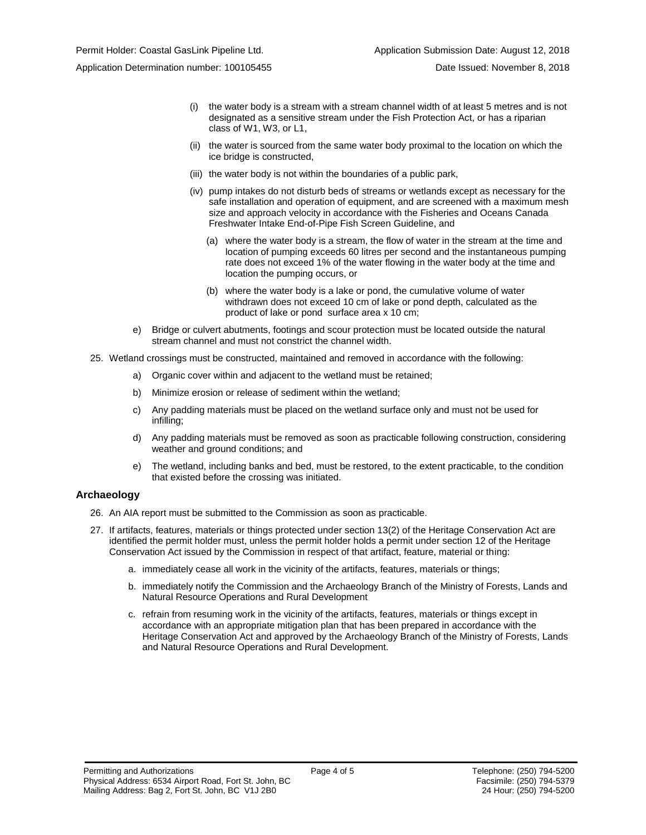- (i) the water body is a stream with a stream channel width of at least 5 metres and is not designated as a sensitive stream under the Fish Protection Act, or has a riparian class of W1, W3, or L1,
- (ii) the water is sourced from the same water body proximal to the location on which the ice bridge is constructed,
- (iii) the water body is not within the boundaries of a public park,
- (iv) pump intakes do not disturb beds of streams or wetlands except as necessary for the safe installation and operation of equipment, and are screened with a maximum mesh size and approach velocity in accordance with the Fisheries and Oceans Canada Freshwater Intake End-of-Pipe Fish Screen Guideline, and
	- (a) where the water body is a stream, the flow of water in the stream at the time and location of pumping exceeds 60 litres per second and the instantaneous pumping rate does not exceed 1% of the water flowing in the water body at the time and location the pumping occurs, or
	- (b) where the water body is a lake or pond, the cumulative volume of water withdrawn does not exceed 10 cm of lake or pond depth, calculated as the product of lake or pond surface area x 10 cm;
- e) Bridge or culvert abutments, footings and scour protection must be located outside the natural stream channel and must not constrict the channel width.
- 25. Wetland crossings must be constructed, maintained and removed in accordance with the following:
	- a) Organic cover within and adjacent to the wetland must be retained;
	- b) Minimize erosion or release of sediment within the wetland;
	- c) Any padding materials must be placed on the wetland surface only and must not be used for infilling;
	- d) Any padding materials must be removed as soon as practicable following construction, considering weather and ground conditions; and
	- e) The wetland, including banks and bed, must be restored, to the extent practicable, to the condition that existed before the crossing was initiated.

#### **Archaeology**

- 26. An AIA report must be submitted to the Commission as soon as practicable.
- 27. If artifacts, features, materials or things protected under section 13(2) of the Heritage Conservation Act are identified the permit holder must, unless the permit holder holds a permit under section 12 of the Heritage Conservation Act issued by the Commission in respect of that artifact, feature, material or thing:
	- a. immediately cease all work in the vicinity of the artifacts, features, materials or things;
	- b. immediately notify the Commission and the Archaeology Branch of the Ministry of Forests, Lands and Natural Resource Operations and Rural Development
	- c. refrain from resuming work in the vicinity of the artifacts, features, materials or things except in accordance with an appropriate mitigation plan that has been prepared in accordance with the Heritage Conservation Act and approved by the Archaeology Branch of the Ministry of Forests, Lands and Natural Resource Operations and Rural Development.